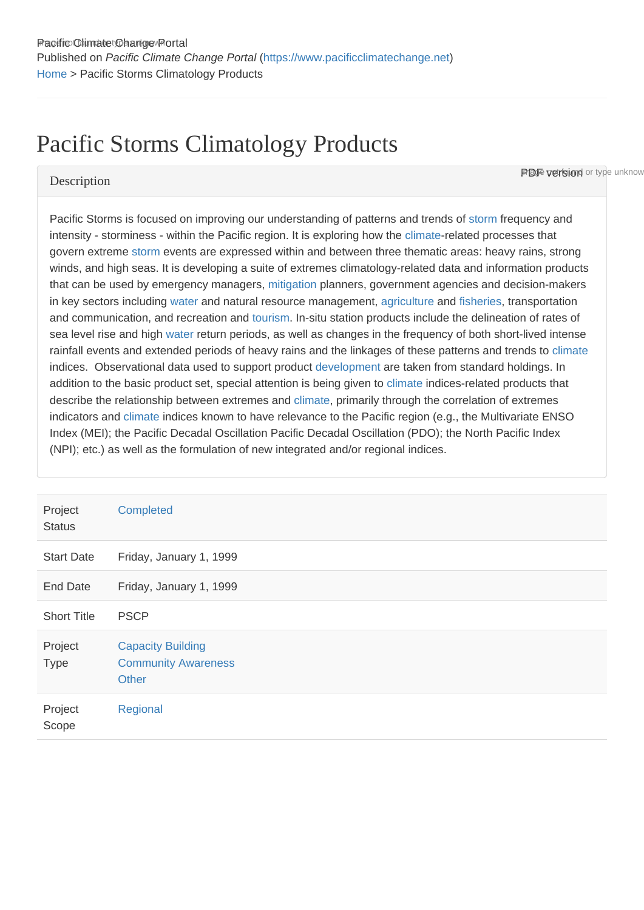# Pacific Storms Climatology Products

#### **Description**

**PDF version** or type unknow

Pacific Storms is focused on improving our understanding of patterns and trends of [storm](https://www.pacificclimatechange.net/glossary/letter_s#Storm) frequency and intensity - storminess - within the Pacific region. It is exploring how the [climate-](https://www.pacificclimatechange.net/glossary/letter_c#Climate)related processes that govern extreme [storm](https://www.pacificclimatechange.net/glossary/letter_s#Storm) events are expressed within and between three thematic areas: heavy rains, strong winds, and high seas. It is developing a suite of extremes climatology-related data and information products that can be used by emergency managers, [mitigation](https://www.pacificclimatechange.net/glossary/letter_m#Mitigation) planners, government agencies and decision-makers in key sectors including [water](https://www.pacificclimatechange.net/glossary/letter_w#Water) and natural resource management, [agriculture](https://www.pacificclimatechange.net/glossary/letter_a#Agriculture) and [fisheries,](https://www.pacificclimatechange.net/glossary/letter_f#Fisheries) transportation and communication, and recreation and [tourism.](https://www.pacificclimatechange.net/glossary/letter_t#Tourism) In-situ station products include the delineation of rates of sea level rise and high [water](https://www.pacificclimatechange.net/glossary/letter_w#Water) return periods, as well as changes in the frequency of both short-lived intense rainfall events and extended periods of heavy rains and the linkages of these patterns and trends to [climate](https://www.pacificclimatechange.net/glossary/letter_c#Climate) indices. Observational data used to support product [development](https://www.pacificclimatechange.net/glossary/letter_d#Development) are taken from standard holdings. In addition to the basic product set, special attention is being given to [climate](https://www.pacificclimatechange.net/glossary/letter_c#Climate) indices-related products that describe the relationship between extremes and [climate](https://www.pacificclimatechange.net/glossary/letter_c#Climate), primarily through the correlation of extremes indicators and [climate](https://www.pacificclimatechange.net/glossary/letter_c#Climate) indices known to have relevance to the Pacific region (e.g., the Multivariate ENSO Index (MEI); the Pacific Decadal Oscillation Pacific Decadal Oscillation (PDO); the North Pacific Index (NPI); etc.) as well as the formulation of new integrated and/or regional indices.

| Project<br><b>Status</b> | Completed                                                              |
|--------------------------|------------------------------------------------------------------------|
| <b>Start Date</b>        | Friday, January 1, 1999                                                |
| <b>End Date</b>          | Friday, January 1, 1999                                                |
| <b>Short Title</b>       | <b>PSCP</b>                                                            |
| Project<br><b>Type</b>   | <b>Capacity Building</b><br><b>Community Awareness</b><br><b>Other</b> |
| Project<br>Scope         | Regional                                                               |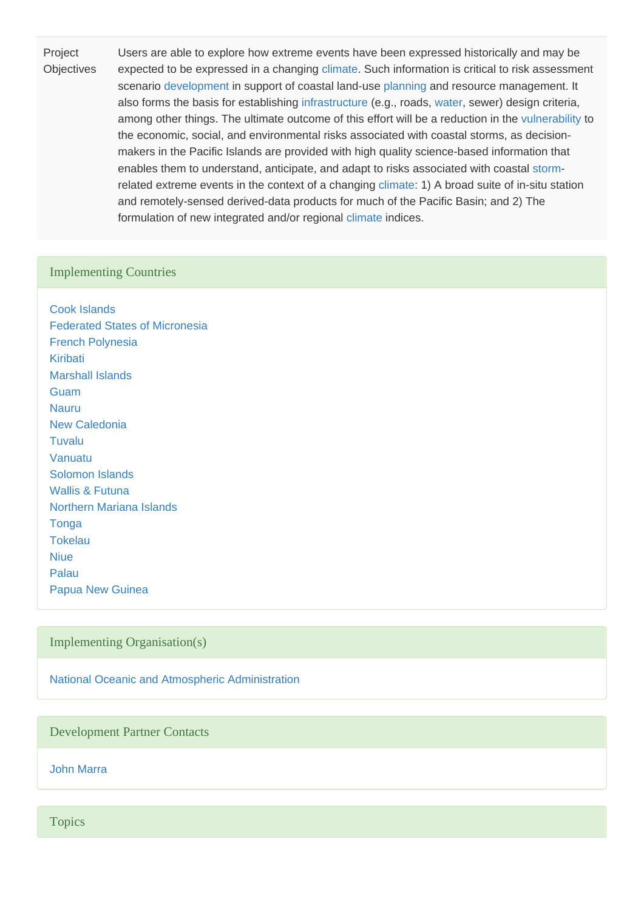Project **Objectives** Users are able to explore how extreme events have been expressed historically and may be expected to be expressed in a changing [climate.](https://www.pacificclimatechange.net/glossary/letter_c#Climate) Such information is critical to risk assessment scenario [development](https://www.pacificclimatechange.net/glossary/letter_d#Development) in support of coastal land-use [planning](https://www.pacificclimatechange.net/glossary/letter_p#Planning) and resource management. It also forms the basis for establishing [infrastructure](https://www.pacificclimatechange.net/glossary/letter_i#Infrastructure) (e.g., roads, [water,](https://www.pacificclimatechange.net/glossary/letter_w#Water) sewer) design criteria, among other things. The ultimate outcome of this effort will be a reduction in the [vulnerability](https://www.pacificclimatechange.net/glossary/letter_v#Vulnerability) to the economic, social, and environmental risks associated with coastal storms, as decisionmakers in the Pacific Islands are provided with high quality science-based information that enables them to understand, anticipate, and adapt to risks associated with coastal [storm](https://www.pacificclimatechange.net/glossary/letter_s#Storm)related extreme events in the context of a changing [climate](https://www.pacificclimatechange.net/glossary/letter_c#Climate): 1) A broad suite of in-situ station and remotely-sensed derived-data products for much of the Pacific Basin; and 2) The formulation of new integrated and/or regional [climate](https://www.pacificclimatechange.net/glossary/letter_c#Climate) indices.

#### Implementing Countries

[Cook Islands](https://www.pacificclimatechange.net/node/9481) [Federated States of Micronesia](https://www.pacificclimatechange.net/node/9482) [French Polynesia](https://www.pacificclimatechange.net/node/9566) [Kiribati](https://www.pacificclimatechange.net/node/52) [Marshall Islands](https://www.pacificclimatechange.net/node/53) [Guam](https://www.pacificclimatechange.net/node/9506) [Nauru](https://www.pacificclimatechange.net/node/54) [New Caledonia](https://www.pacificclimatechange.net/node/9554) [Tuvalu](https://www.pacificclimatechange.net/node/62) [Vanuatu](https://www.pacificclimatechange.net/node/63) [Solomon Islands](https://www.pacificclimatechange.net/node/59) [Wallis & Futuna](https://www.pacificclimatechange.net/node/9568) [Northern Mariana Islands](https://www.pacificclimatechange.net/node/9567) **[Tonga](https://www.pacificclimatechange.net/node/61)** [Tokelau](https://www.pacificclimatechange.net/node/60) [Niue](https://www.pacificclimatechange.net/node/55) [Palau](https://www.pacificclimatechange.net/node/57) [Papua New Guinea](https://www.pacificclimatechange.net/node/58)

### Implementing Organisation(s)

[National Oceanic and Atmospheric Administration](https://www.pacificclimatechange.net/node/9654)

Development Partner Contacts

[John Marra](https://www.pacificclimatechange.net/node/9657)

**Topics**